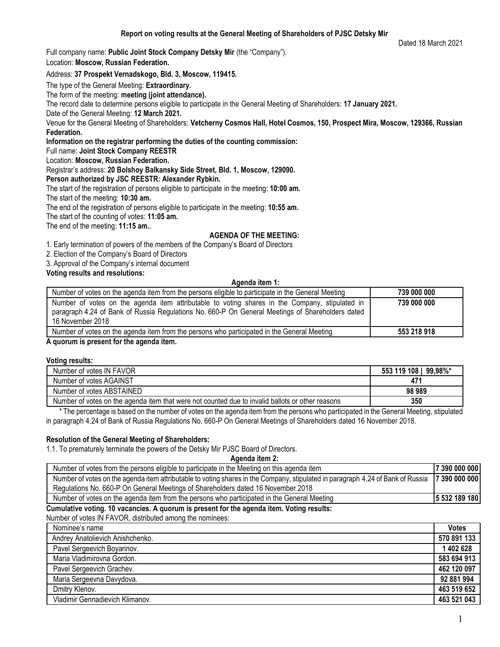Full company name: **Public Joint Stock Company Detsky Mir** (the "Company").

Location: **Moscow, Russian Federation.**

# Address: **37 Prospekt Vernadskogo, Bld. 3, Moscow, 119415.**

The type of the General Meeting: **Extraordinary.**

The form of the meeting: **meeting (joint attendance).**

The record date to determine persons eligible to participate in the General Meeting of Shareholders: **17 January 2021.**

Date of the General Meeting: **12 March 2021.**

Venue for the General Meeting of Shareholders: **Vetcherny Cosmos Hall, Hotel Cosmos, 150, Prospect Mira, Moscow, 129366, Russian Federation.**

**Information on the registrar performing the duties of the counting commission:**

Full name: **Joint Stock Company REESTR**

Location: **Moscow, Russian Federation.**

Registrar's address: **20 Bolshoy Balkansky Side Street, Bld. 1, Moscow, 129090.**

**Person authorized by JSC REESTR: Alexander Rybkin.**

The start of the registration of persons eligible to participate in the meeting: **10:00 am.**

The start of the meeting: **10:30 am.**

The end of the registration of persons eligible to participate in the meeting: **10:55 am.**

The start of the counting of votes: **11:05 am.**

The end of the meeting: **11:15 am.**.

# **AGENDA OF THE MEETING:**

1. Early termination of powers of the members of the Company's Board of Directors

2. Election of the Company's Board of Directors

3. Approval of the Company's internal document

**Voting results and resolutions:**

#### **Agenda item 1:**

| Number of votes on the agenda item from the persons eligible to participate in the General Meeting                                                                                                                     | 739 000 000 |
|------------------------------------------------------------------------------------------------------------------------------------------------------------------------------------------------------------------------|-------------|
| Number of votes on the agenda item attributable to voting shares in the Company, stipulated in<br>paragraph 4.24 of Bank of Russia Regulations No. 660-P On General Meetings of Shareholders dated<br>16 November 2018 | 739 000 000 |
| Number of votes on the agenda item from the persons who participated in the General Meeting                                                                                                                            | 553 218 918 |
|                                                                                                                                                                                                                        |             |

**A quorum is present for the agenda item.** 

### **Voting results:**

| Number of votes IN FAVOR                                                                         | 553 119 108 | 99.98%* |
|--------------------------------------------------------------------------------------------------|-------------|---------|
| Number of votes AGAINST                                                                          | 471         |         |
| Number of votes ABSTAINED                                                                        | 98989       |         |
| Number of votes on the agenda item that were not counted due to invalid ballots or other reasons | 350         |         |

 \* The percentage is based on the number of votes on the agenda item from the persons who participated in the General Meeting, stipulated in paragraph 4.24 of Bank of Russia Regulations No. 660-P On General Meetings of Shareholders dated 16 November 2018.

# **Resolution of the General Meeting of Shareholders:**

1.1. To prematurely terminate the powers of the Detsky Mir PJSC Board of Directors.

**Agenda item 2:**

| Number of votes from the persons eligible to participate in the Meeting on this agenda item                                     |               |
|---------------------------------------------------------------------------------------------------------------------------------|---------------|
| Number of votes on the agenda item attributable to voting shares in the Company, stipulated in paragraph 4.24 of Bank of Russia | 7 390 000 000 |
| Regulations No. 660-P On General Meetings of Shareholders dated 16 November 2018                                                |               |
| Number of votes on the agenda item from the persons who participated in the General Meeting                                     | 5 532 189 180 |
| Ammediate catholic 4A corrector - A mericano transport frattor recede trans Mathemarcultur                                      |               |

**Cumulative voting. 10 vacancies. A quorum is present for the agenda item. Voting results:**

Number of votes IN FAVOR, distributed among the nominees:

| Nominee's name                   | <b>Votes</b> |
|----------------------------------|--------------|
| Andrey Anatolievich Anishchenko. | 570 891 133  |
| Pavel Sergeevich Boyarinov.      | 1 402 628    |
| Maria Vladimirovna Gordon.       | 583 694 913  |
| Pavel Sergeevich Grachev.        | 462 120 097  |
| Maria Sergeevna Davydova.        | 92 881 994   |
| Dmitry Klenov.                   | 463 519 652  |
| Vladimir Gennadievich Klimanov.  | 463 521 043  |